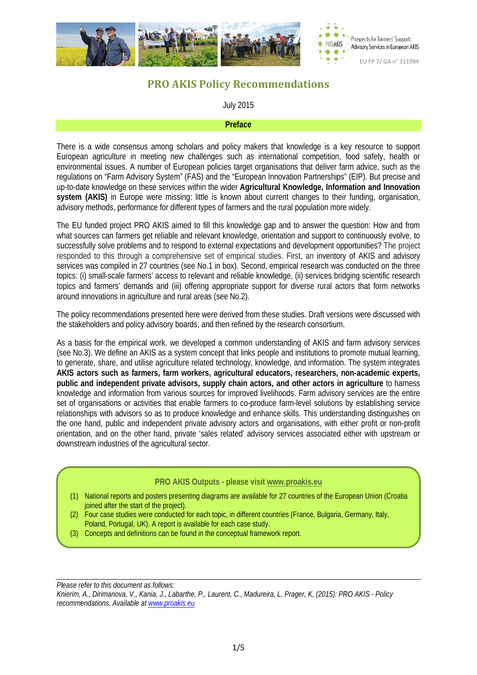

# **PRO AKIS Policy Recommendations**

### July 2015

#### **Preface**

There is a wide consensus among scholars and policy makers that knowledge is a key resource to support European agriculture in meeting new challenges such as international competition, food safety, health or environmental issues. A number of European policies target organisations that deliver farm advice, such as the regulations on "Farm Advisory System" (FAS) and the "European Innovation Partnerships" (EIP). But precise and up-to-date knowledge on these services within the wider **Agricultural Knowledge, Information and Innovation system (AKIS)** in Europe were missing: little is known about current changes to their funding, organisation, advisory methods, performance for different types of farmers and the rural population more widely.

The EU funded project PRO AKIS aimed to fill this knowledge gap and to answer the question: How and from what sources can farmers get reliable and relevant knowledge, orientation and support to continuously evolve, to successfully solve problems and to respond to external expectations and development opportunities? The project responded to this through a comprehensive set of empirical studies. First, an inventory of AKIS and advisory services was compiled in 27 countries (see No.1 in box). Second, empirical research was conducted on the three topics: (i) small-scale farmers' access to relevant and reliable knowledge, (ii) services bridging scientific research topics and farmers' demands and (iii) offering appropriate support for diverse rural actors that form networks around innovations in agriculture and rural areas (see No.2).

The policy recommendations presented here were derived from these studies. Draft versions were discussed with the stakeholders and policy advisory boards, and then refined by the research consortium.

As a basis for the empirical work, we developed a common understanding of AKIS and farm advisory services (see No.3). We define an AKIS as a system concept that links people and institutions to promote mutual learning, to generate, share, and utilise agriculture related technology, knowledge, and information. The system integrates **AKIS actors such as farmers, farm workers, agricultural educators, researchers, non-academic experts, public and independent private advisors, supply chain actors, and other actors in agriculture** to harness knowledge and information from various sources for improved livelihoods. Farm advisory services are the entire set of organisations or activities that enable farmers to co-produce farm-level solutions by establishing service relationships with advisors so as to produce knowledge and enhance skills. This understanding distinguishes on the one hand, public and independent private advisory actors and organisations, with either profit or non-profit orientation, and on the other hand, private 'sales related' advisory services associated either with upstream or downstream industries of the agricultural sector.

### **PRO AKIS Outputs - please visit [www.proakis.eu](http://www.proakis.eu/)**

(1) National reports and posters presenting diagrams are available for 27 countries of the European Union (Croatia joined after the start of the project).

(2) Four case studies were conducted for each topic, in different countries (France, Bulgaria, Germany, Italy, Poland, Portugal, UK). A report is available for each case study.

(3) Concepts and definitions can be found in the conceptual framework report.

*Please refer to this document as follows:*

*Knierim, A., Dirimanova, V., Kania, J., Labarthe, P., Laurent, C., Madureira, L, Prager, K, (2015): PRO AKIS - Policy recommendations. Available at [www.proakis.eu](http://www.proakis.eu/)*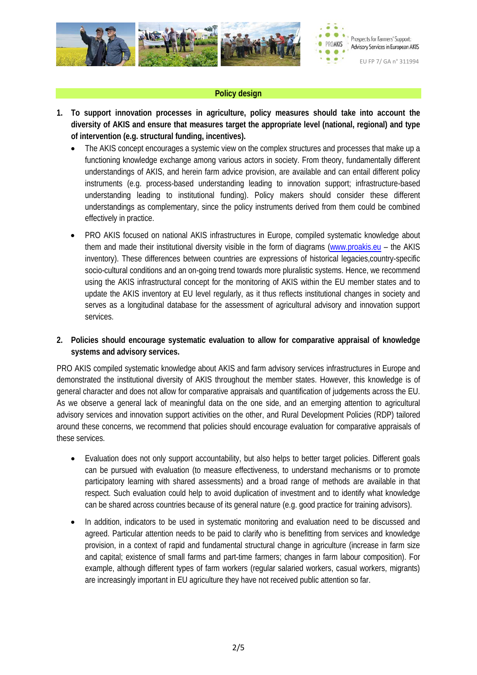

### **Policy design**

- **1. To support innovation processes in agriculture, policy measures should take into account the diversity of AKIS and ensure that measures target the appropriate level (national, regional) and type of intervention (e.g. structural funding, incentives).**
	- The AKIS concept encourages a systemic view on the complex structures and processes that make up a functioning knowledge exchange among various actors in society. From theory, fundamentally different understandings of AKIS, and herein farm advice provision, are available and can entail different policy instruments (e.g. process-based understanding leading to innovation support; infrastructure-based understanding leading to institutional funding). Policy makers should consider these different understandings as complementary, since the policy instruments derived from them could be combined effectively in practice.
	- PRO AKIS focused on national AKIS infrastructures in Europe, compiled systematic knowledge about them and made their institutional diversity visible in the form of diagrams [\(www.proakis.eu](http://www.proakis.eu/) – the AKIS inventory). These differences between countries are expressions of historical legacies,country-specific socio-cultural conditions and an on-going trend towards more pluralistic systems. Hence, we recommend using the AKIS infrastructural concept for the monitoring of AKIS within the EU member states and to update the AKIS inventory at EU level regularly, as it thus reflects institutional changes in society and serves as a longitudinal database for the assessment of agricultural advisory and innovation support services.

### **2. Policies should encourage systematic evaluation to allow for comparative appraisal of knowledge systems and advisory services.**

PRO AKIS compiled systematic knowledge about AKIS and farm advisory services infrastructures in Europe and demonstrated the institutional diversity of AKIS throughout the member states. However, this knowledge is of general character and does not allow for comparative appraisals and quantification of judgements across the EU. As we observe a general lack of meaningful data on the one side, and an emerging attention to agricultural advisory services and innovation support activities on the other, and Rural Development Policies (RDP) tailored around these concerns, we recommend that policies should encourage evaluation for comparative appraisals of these services.

- Evaluation does not only support accountability, but also helps to better target policies. Different goals can be pursued with evaluation (to measure effectiveness, to understand mechanisms or to promote participatory learning with shared assessments) and a broad range of methods are available in that respect. Such evaluation could help to avoid duplication of investment and to identify what knowledge can be shared across countries because of its general nature (e.g. good practice for training advisors).
- In addition, indicators to be used in systematic monitoring and evaluation need to be discussed and agreed. Particular attention needs to be paid to clarify who is benefitting from services and knowledge provision, in a context of rapid and fundamental structural change in agriculture (increase in farm size and capital; existence of small farms and part-time farmers; changes in farm labour composition). For example, although different types of farm workers (regular salaried workers, casual workers, migrants) are increasingly important in EU agriculture they have not received public attention so far.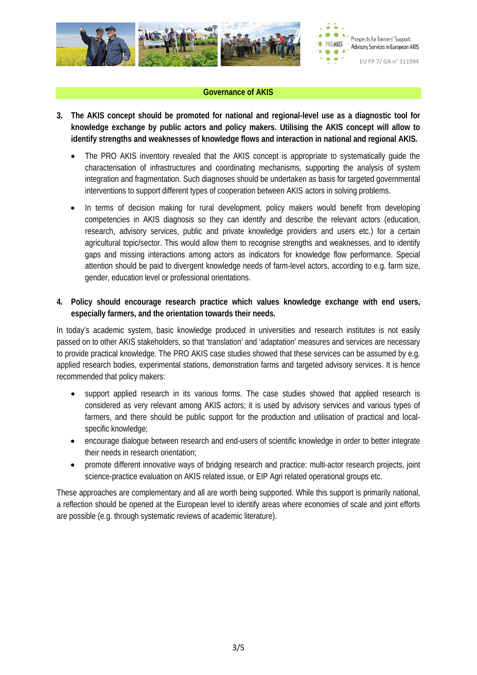

### **Governance of AKIS**

- **3. The AKIS concept should be promoted for national and regional-level use as a diagnostic tool for knowledge exchange by public actors and policy makers. Utilising the AKIS concept will allow to identify strengths and weaknesses of knowledge flows and interaction in national and regional AKIS.**
	- The PRO AKIS inventory revealed that the AKIS concept is appropriate to systematically guide the characterisation of infrastructures and coordinating mechanisms, supporting the analysis of system integration and fragmentation. Such diagnoses should be undertaken as basis for targeted governmental interventions to support different types of cooperation between AKIS actors in solving problems.
	- In terms of decision making for rural development, policy makers would benefit from developing competencies in AKIS diagnosis so they can identify and describe the relevant actors (education, research, advisory services, public and private knowledge providers and users etc.) for a certain agricultural topic/sector. This would allow them to recognise strengths and weaknesses, and to identify gaps and missing interactions among actors as indicators for knowledge flow performance. Special attention should be paid to divergent knowledge needs of farm-level actors, according to e.g. farm size, gender, education level or professional orientations.

### **4. Policy should encourage research practice which values knowledge exchange with end users, especially farmers, and the orientation towards their needs.**

In today's academic system, basic knowledge produced in universities and research institutes is not easily passed on to other AKIS stakeholders, so that 'translation' and 'adaptation' measures and services are necessary to provide practical knowledge. The PRO AKIS case studies showed that these services can be assumed by e.g. applied research bodies, experimental stations, demonstration farms and targeted advisory services. It is hence recommended that policy makers:

- support applied research in its various forms. The case studies showed that applied research is considered as very relevant among AKIS actors; it is used by advisory services and various types of farmers, and there should be public support for the production and utilisation of practical and localspecific knowledge;
- encourage dialogue between research and end-users of scientific knowledge in order to better integrate their needs in research orientation;
- promote different innovative ways of bridging research and practice: multi-actor research projects, joint science-practice evaluation on AKIS related issue, or EIP Agri related operational groups etc.

These approaches are complementary and all are worth being supported. While this support is primarily national, a reflection should be opened at the European level to identify areas where economies of scale and joint efforts are possible (e.g. through systematic reviews of academic literature).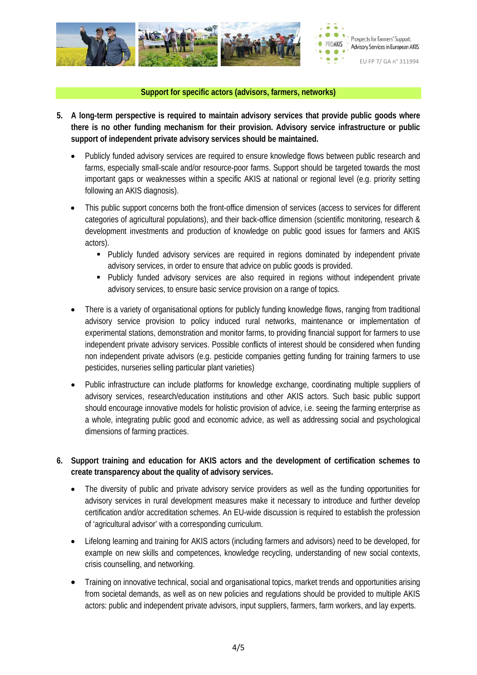

### **Support for specific actors (advisors, farmers, networks)**

- **5. A long-term perspective is required to maintain advisory services that provide public goods where there is no other funding mechanism for their provision. Advisory service infrastructure or public support of independent private advisory services should be maintained.**
	- Publicly funded advisory services are required to ensure knowledge flows between public research and farms, especially small-scale and/or resource-poor farms. Support should be targeted towards the most important gaps or weaknesses within a specific AKIS at national or regional level (e.g. priority setting following an AKIS diagnosis).
	- This public support concerns both the front-office dimension of services (access to services for different categories of agricultural populations), and their back-office dimension (scientific monitoring, research & development investments and production of knowledge on public good issues for farmers and AKIS actors).
		- Publicly funded advisory services are required in regions dominated by independent private advisory services, in order to ensure that advice on public goods is provided.
		- **Publicly funded advisory services are also required in regions without independent private** advisory services, to ensure basic service provision on a range of topics.
	- There is a variety of organisational options for publicly funding knowledge flows, ranging from traditional advisory service provision to policy induced rural networks, maintenance or implementation of experimental stations, demonstration and monitor farms, to providing financial support for farmers to use independent private advisory services. Possible conflicts of interest should be considered when funding non independent private advisors (e.g. pesticide companies getting funding for training farmers to use pesticides, nurseries selling particular plant varieties)
	- Public infrastructure can include platforms for knowledge exchange, coordinating multiple suppliers of advisory services, research/education institutions and other AKIS actors. Such basic public support should encourage innovative models for holistic provision of advice, i.e. seeing the farming enterprise as a whole, integrating public good and economic advice, as well as addressing social and psychological dimensions of farming practices.
- **6. Support training and education for AKIS actors and the development of certification schemes to create transparency about the quality of advisory services.**
	- The diversity of public and private advisory service providers as well as the funding opportunities for advisory services in rural development measures make it necessary to introduce and further develop certification and/or accreditation schemes. An EU-wide discussion is required to establish the profession of 'agricultural advisor' with a corresponding curriculum.
	- Lifelong learning and training for AKIS actors (including farmers and advisors) need to be developed, for example on new skills and competences, knowledge recycling, understanding of new social contexts, crisis counselling, and networking.
	- Training on innovative technical, social and organisational topics, market trends and opportunities arising from societal demands, as well as on new policies and regulations should be provided to multiple AKIS actors: public and independent private advisors, input suppliers, farmers, farm workers, and lay experts.